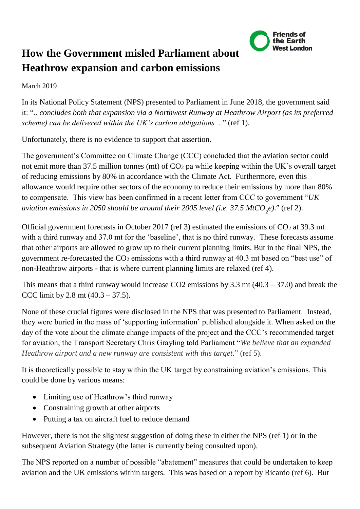

## **How the Government misled Parliament about Heathrow expansion and carbon emissions**

## March 2019

In its National Policy Statement (NPS) presented to Parliament in June 2018, the government said it: "*.. concludes both that expansion via a Northwest Runway at Heathrow Airport (as its preferred scheme) can be delivered within the UK's carbon obligations ..*" (ref 1).

Unfortunately, there is no evidence to support that assertion.

The government's Committee on Climate Change (CCC) concluded that the aviation sector could not emit more than 37.5 million tonnes (mt) of  $CO<sub>2</sub>$  pa while keeping within the UK's overall target of reducing emissions by 80% in accordance with the Climate Act. Furthermore, even this allowance would require other sectors of the economy to reduce their emissions by more than 80% to compensate. This view has been confirmed in a recent letter from CCC to government "*UK aviation emissions in 2050 should be around their 2005 level (i.e. 37.5*  $MtCO<sub>2</sub>e$ *).*" (ref 2).

Official government forecasts in October 2017 (ref 3) estimated the emissions of  $CO<sub>2</sub>$  at 39.3 mt with a third runway and 37.0 mt for the 'baseline', that is no third runway. These forecasts assume that other airports are allowed to grow up to their current planning limits. But in the final NPS, the government re-forecasted the  $CO<sub>2</sub>$  emissions with a third runway at 40.3 mt based on "best use" of non-Heathrow airports - that is where current planning limits are relaxed (ref 4).

This means that a third runway would increase CO2 emissions by  $3.3$  mt  $(40.3 - 37.0)$  and break the CCC limit by 2.8 mt  $(40.3 – 37.5)$ .

None of these crucial figures were disclosed in the NPS that was presented to Parliament. Instead, they were buried in the mass of 'supporting information' published alongside it. When asked on the day of the vote about the climate change impacts of the project and the CCC's recommended target for aviation, the Transport Secretary Chris Grayling told Parliament "*We believe that an expanded Heathrow airport and a new runway are consistent with this target*." (ref 5).

It is theoretically possible to stay within the UK target by constraining aviation's emissions. This could be done by various means:

- Limiting use of Heathrow's third runway
- Constraining growth at other airports
- Putting a tax on aircraft fuel to reduce demand

However, there is not the slightest suggestion of doing these in either the NPS (ref 1) or in the subsequent Aviation Strategy (the latter is currently being consulted upon).

The NPS reported on a number of possible "abatement" measures that could be undertaken to keep aviation and the UK emissions within targets. This was based on a report by Ricardo (ref 6). But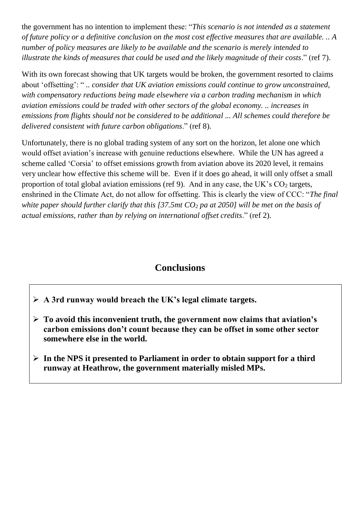the government has no intention to implement these: "*This scenario is not intended as a statement of future policy or a definitive conclusion on the most cost effective measures that are available. .. A number of policy measures are likely to be available and the scenario is merely intended to illustrate the kinds of measures that could be used and the likely magnitude of their costs*." (ref 7).

With its own forecast showing that UK targets would be broken, the government resorted to claims about 'offsetting': " *.. consider that UK aviation emissions could continue to grow unconstrained, with compensatory reductions being made elsewhere via a carbon trading mechanism in which aviation emissions could be traded with other sectors of the global economy. .. increases in emissions from flights should not be considered to be additional ... All schemes could therefore be delivered consistent with future carbon obligations*." (ref 8).

Unfortunately, there is no global trading system of any sort on the horizon, let alone one which would offset aviation's increase with genuine reductions elsewhere. While the UN has agreed a scheme called 'Corsia' to offset emissions growth from aviation above its 2020 level, it remains very unclear how effective this scheme will be. Even if it does go ahead, it will only offset a small proportion of total global aviation emissions (ref 9). And in any case, the UK's  $CO<sub>2</sub>$  targets, enshrined in the Climate Act, do not allow for offsetting. This is clearly the view of CCC: "*The final white paper should further clarify that this [37.5mt CO<sup>2</sup> pa at 2050] will be met on the basis of actual emissions, rather than by relying on international offset credits*." (ref 2).

## **Conclusions**

➢ **A 3rd runway would breach the UK's legal climate targets.**

- ➢ **To avoid this inconvenient truth, the government now claims that aviation's carbon emissions don't count because they can be offset in some other sector somewhere else in the world.**
- ➢ **In the NPS it presented to Parliament in order to obtain support for a third runway at Heathrow, the government materially misled MPs.**